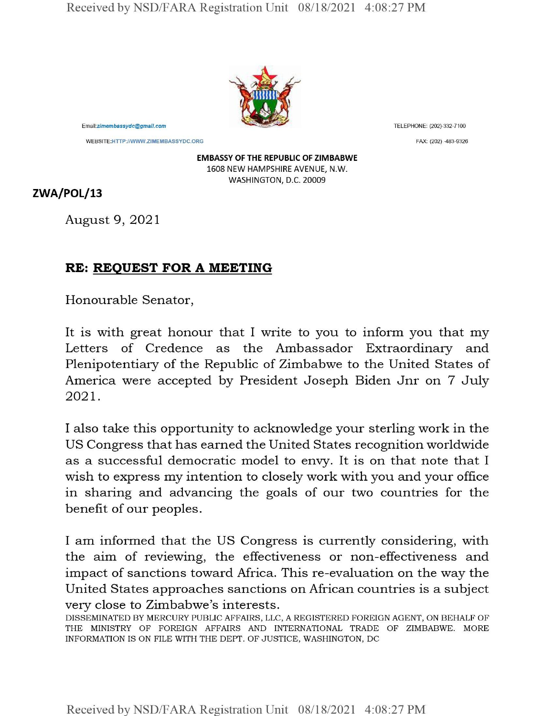

WEBSITE:HTTP://WWW.ZIMEMBASSYDC.ORG FAX: (202) -483-9326

EMBASSY OF THE REPUBLIC OF ZIMBABWE 1608 NEW HAMPSHIRE AVENUE, N.W. WASHINGTON, D.C. 20009

## **ZWA/POL/13**

**August 9, 2021**

## **RE: REQUEST FOR A MEETING**

**Honourable Senator,**

**It is with great honour that I write to you to inform you that my Letters of Credence as the Ambassador Extraordinary and Plenipotentiary of the Republic of Zimbabwe to the United States of America were accepted by President Joseph Biden Jnr on 7 July 2021**

**I also take this opportunity to acknowledge your sterling work in the US Congress that has earned the United States recognition worldwide as a successful democratic model to envy. It is on that note that I wish to express my intention to closely work with you and your office in sharing and advancing the goals of our two countries for the benefit of our peoples.**

**I am informed that the US Congress is currently considering, with the aim of reviewing, the effectiveness or non-effectiveness and impact of sanctions toward Africa. This re-evaluation on the way the United States approaches sanctions on African countries is a subject very close to Zimbabwe's interests.**

DISSEMINATED BY MERCURY PUBLIC AFFAIRS, LLC, A REGISTERED FOREIGN AGENT, ON BEHALF OF THE MINISTRY OF FOREIGN AFFAIRS AND INTERNATIONAL TRADE OF ZIMBABWE. MORE INFORMATION IS ON FILE WITH THE DEPT. OF JUSTICE, WASHINGTON, DC